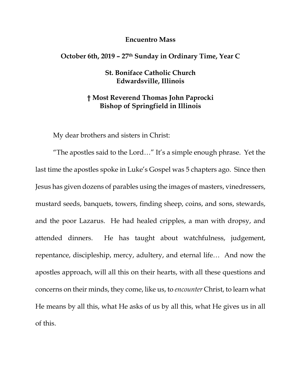## **Encuentro Mass**

## **October 6th, 2019 – 27th Sunday in Ordinary Time, Year C**

## **St. Boniface Catholic Church Edwardsville, Illinois**

## **† Most Reverend Thomas John Paprocki Bishop of Springfield in Illinois**

My dear brothers and sisters in Christ:

"The apostles said to the Lord…" It's a simple enough phrase. Yet the last time the apostles spoke in Luke's Gospel was 5 chapters ago. Since then Jesus has given dozens of parables using the images of masters, vinedressers, mustard seeds, banquets, towers, finding sheep, coins, and sons, stewards, and the poor Lazarus. He had healed cripples, a man with dropsy, and attended dinners. He has taught about watchfulness, judgement, repentance, discipleship, mercy, adultery, and eternal life… And now the apostles approach, will all this on their hearts, with all these questions and concerns on their minds, they come, like us, to *encounter* Christ, to learn what He means by all this, what He asks of us by all this, what He gives us in all of this.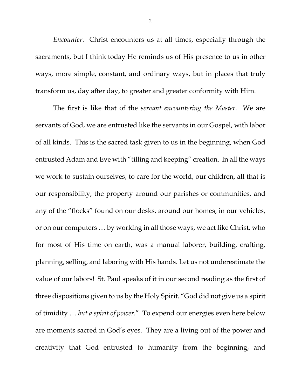*Encounter*. Christ encounters us at all times, especially through the sacraments, but I think today He reminds us of His presence to us in other ways, more simple, constant, and ordinary ways, but in places that truly transform us, day after day, to greater and greater conformity with Him.

The first is like that of the *servant encountering the Master.* We are servants of God, we are entrusted like the servants in our Gospel, with labor of all kinds. This is the sacred task given to us in the beginning, when God entrusted Adam and Eve with "tilling and keeping" creation. In all the ways we work to sustain ourselves, to care for the world, our children, all that is our responsibility, the property around our parishes or communities, and any of the "flocks" found on our desks, around our homes, in our vehicles, or on our computers … by working in all those ways, we act like Christ, who for most of His time on earth, was a manual laborer, building, crafting, planning, selling, and laboring with His hands. Let us not underestimate the value of our labors! St. Paul speaks of it in our second reading as the first of three dispositions given to us by the Holy Spirit. "God did not give us a spirit of timidity … *but a spirit of power*." To expend our energies even here below are moments sacred in God's eyes. They are a living out of the power and creativity that God entrusted to humanity from the beginning, and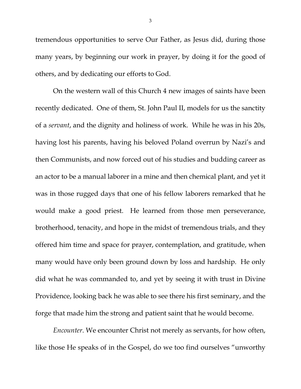tremendous opportunities to serve Our Father, as Jesus did, during those many years, by beginning our work in prayer, by doing it for the good of others, and by dedicating our efforts to God.

On the western wall of this Church 4 new images of saints have been recently dedicated. One of them, St. John Paul II, models for us the sanctity of a *servant*, and the dignity and holiness of work. While he was in his 20s, having lost his parents, having his beloved Poland overrun by Nazi's and then Communists, and now forced out of his studies and budding career as an actor to be a manual laborer in a mine and then chemical plant, and yet it was in those rugged days that one of his fellow laborers remarked that he would make a good priest. He learned from those men perseverance, brotherhood, tenacity, and hope in the midst of tremendous trials, and they offered him time and space for prayer, contemplation, and gratitude, when many would have only been ground down by loss and hardship. He only did what he was commanded to, and yet by seeing it with trust in Divine Providence, looking back he was able to see there his first seminary, and the forge that made him the strong and patient saint that he would become.

*Encounter*. We encounter Christ not merely as servants, for how often, like those He speaks of in the Gospel, do we too find ourselves "unworthy

3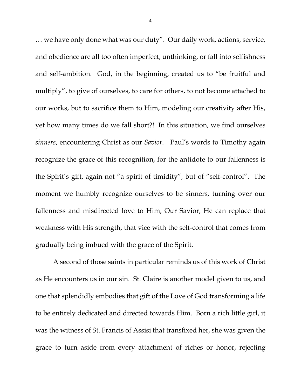… we have only done what was our duty". Our daily work, actions, service, and obedience are all too often imperfect, unthinking, or fall into selfishness and self-ambition. God, in the beginning, created us to "be fruitful and multiply", to give of ourselves, to care for others, to not become attached to our works, but to sacrifice them to Him, modeling our creativity after His, yet how many times do we fall short?! In this situation, we find ourselves *sinners*, encountering Christ as our *Savior*. Paul's words to Timothy again recognize the grace of this recognition, for the antidote to our fallenness is the Spirit's gift, again not "a spirit of timidity", but of "self-control". The moment we humbly recognize ourselves to be sinners, turning over our fallenness and misdirected love to Him, Our Savior, He can replace that weakness with His strength, that vice with the self-control that comes from gradually being imbued with the grace of the Spirit.

A second of those saints in particular reminds us of this work of Christ as He encounters us in our sin. St. Claire is another model given to us, and one that splendidly embodies that gift of the Love of God transforming a life to be entirely dedicated and directed towards Him. Born a rich little girl, it was the witness of St. Francis of Assisi that transfixed her, she was given the grace to turn aside from every attachment of riches or honor, rejecting

4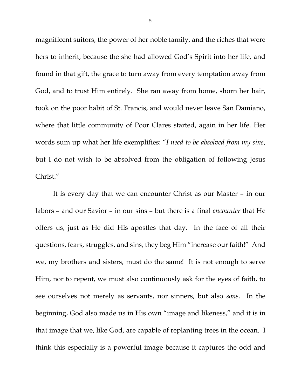magnificent suitors, the power of her noble family, and the riches that were hers to inherit, because the she had allowed God's Spirit into her life, and found in that gift, the grace to turn away from every temptation away from God, and to trust Him entirely. She ran away from home, shorn her hair, took on the poor habit of St. Francis, and would never leave San Damiano, where that little community of Poor Clares started, again in her life. Her words sum up what her life exemplifies: "*I need to be absolved from my sins*, but I do not wish to be absolved from the obligation of following Jesus Christ."

It is every day that we can encounter Christ as our Master – in our labors – and our Savior – in our sins – but there is a final *encounter* that He offers us, just as He did His apostles that day. In the face of all their questions, fears, struggles, and sins, they beg Him "increase our faith!" And we, my brothers and sisters, must do the same! It is not enough to serve Him, nor to repent, we must also continuously ask for the eyes of faith, to see ourselves not merely as servants, nor sinners, but also *sons.* In the beginning, God also made us in His own "image and likeness," and it is in that image that we, like God, are capable of replanting trees in the ocean. I think this especially is a powerful image because it captures the odd and

5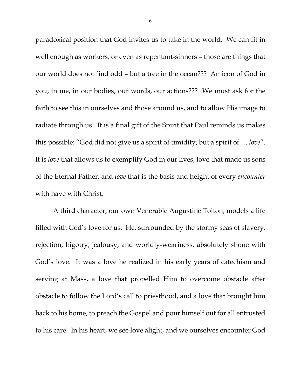paradoxical position that God invites us to take in the world. We can fit in well enough as workers, or even as repentant-sinners – those are things that our world does not find odd – but a tree in the ocean??? An icon of God in you, in me, in our bodies, our words, our actions??? We must ask for the faith to see this in ourselves and those around us, and to allow His image to radiate through us! It is a final gift of the Spirit that Paul reminds us makes this possible: "God did not give us a spirit of timidity, but a spirit of … *love*". It is *love* that allows us to exemplify God in our lives, love that made us sons of the Eternal Father, and *love* that is the basis and height of every *encounter* with have with Christ.

A third character, our own Venerable Augustine Tolton, models a life filled with God's love for us. He, surrounded by the stormy seas of slavery, rejection, bigotry, jealousy, and worldly-weariness, absolutely shone with God's love. It was a love he realized in his early years of catechism and serving at Mass, a love that propelled Him to overcome obstacle after obstacle to follow the Lord's call to priesthood, and a love that brought him back to his home, to preach the Gospel and pour himself out for all entrusted to his care. In his heart, we see love alight, and we ourselves encounter God